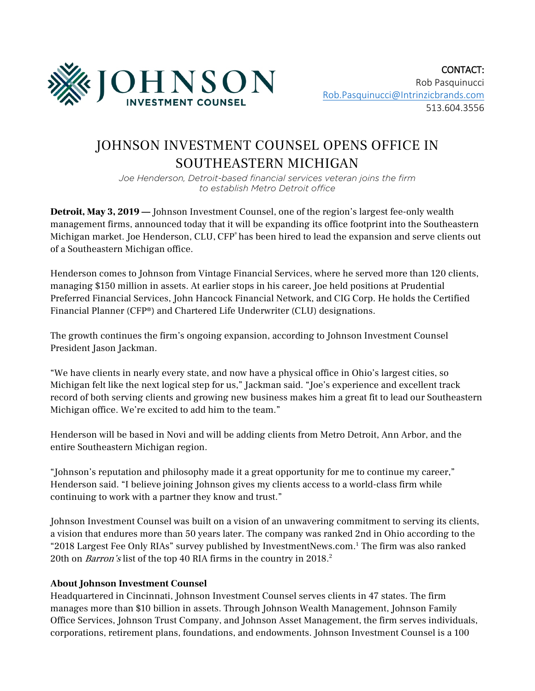

## JOHNSON INVESTMENT COUNSEL OPENS OFFICE IN SOUTHEASTERN MICHIGAN

*Joe Henderson, Detroit-based financial services veteran joins the firm to establish Metro Detroit office*

Detroit, May 3, 2019 — Johnson Investment Counsel, one of the region's largest fee-only wealth management firms, announced today that it will be expanding its office footprint into the Southeastern Michigan market. Joe Henderson, CLU, CFP<sup>®</sup> has been hired to lead the expansion and serve clients out of a Southeastern Michigan office.

Henderson comes to Johnson from Vintage Financial Services, where he served more than 120 clients, managing \$150 million in assets. At earlier stops in his career, Joe held positions at Prudential Preferred Financial Services, John Hancock Financial Network, and CIG Corp. He holds the Certified Financial Planner (CFP®) and Chartered Life Underwriter (CLU) designations.

The growth continues the firm's ongoing expansion, according to Johnson Investment Counsel President Jason Jackman.

"We have clients in nearly every state, and now have a physical office in Ohio's largest cities, so Michigan felt like the next logical step for us," Jackman said. "Joe's experience and excellent track record of both serving clients and growing new business makes him a great fit to lead our Southeastern Michigan office. We're excited to add him to the team."

Henderson will be based in Novi and will be adding clients from Metro Detroit, Ann Arbor, and the entire Southeastern Michigan region.

"Johnson's reputation and philosophy made it a great opportunity for me to continue my career," Henderson said. "I believe joining Johnson gives my clients access to a world-class firm while continuing to work with a partner they know and trust."

Johnson Investment Counsel was built on a vision of an unwavering commitment to serving its clients, a vision that endures more than 50 years later. The company was ranked 2nd in Ohio according to the "2018 Largest Fee Only RIAs" survey published by InvestmentNews.com.1 The firm was also ranked 20th on *Barron's* list of the top 40 RIA firms in the country in 2018.<sup>2</sup>

## **About Johnson Investment Counsel**

Headquartered in Cincinnati, Johnson Investment Counsel serves clients in 47 states. The firm manages more than \$10 billion in assets. Through Johnson Wealth Management, Johnson Family Office Services, Johnson Trust Company, and Johnson Asset Management, the firm serves individuals, corporations, retirement plans, foundations, and endowments. Johnson Investment Counsel is a 100